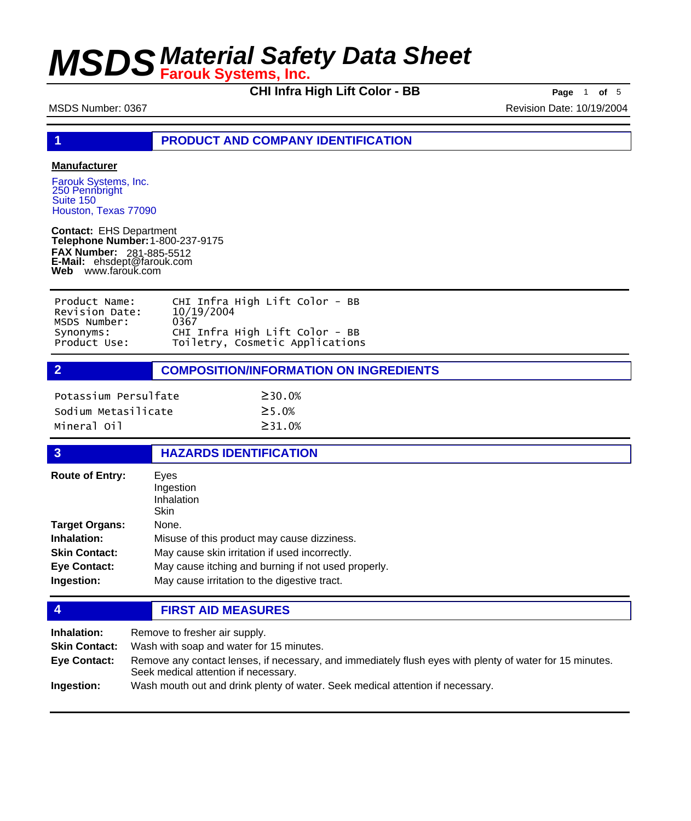**CHI Infra High Lift Color - BB Page** <sup>1</sup> **of** <sup>5</sup>

MSDS Number: 0367 Revision Date: 10/19/2004

**1 PRODUCT AND COMPANY IDENTIFICATION**

## **Manufacturer**

Farouk Systems, Inc. 250 Pennbright Suite 150 Houston, Texas 77090

**Contact:** EHS Department **Telephone Number:** 1-800-237-9175 **FAX Number: FAX Number:** 281-885-5512<br>**E-Mail:** ehsdept@farouk.com **Web** www.farouk.com

| Product Name:  | CHI Infra High Lift Color - BB  |
|----------------|---------------------------------|
| Revision Date: | 10/19/2004                      |
| MSDS Number:   | 0367                            |
| Synonyms:      | CHI Infra High Lift Color - BB  |
| Product Use:   | Toiletry, Cosmetic Applications |

**2 COMPOSITION/INFORMATION ON INGREDIENTS**

| Potassium Persulfate | $\geq$ 30.0%  |
|----------------------|---------------|
| Sodium Metasilicate  | $\geq$ 5 . 0% |
| Mineral Oil          | $\geq$ 31.0%  |

### **3 HAZARDS IDENTIFICATION**

| <b>Route of Entry:</b> | Eves<br>Ingestion<br>Inhalation<br>Skin             |
|------------------------|-----------------------------------------------------|
| <b>Target Organs:</b>  | None.                                               |
| Inhalation:            | Misuse of this product may cause dizziness.         |
| <b>Skin Contact:</b>   | May cause skin irritation if used incorrectly.      |
| <b>Eye Contact:</b>    | May cause itching and burning if not used properly. |
| Ingestion:             | May cause irritation to the digestive tract.        |

**4 FIRST AID MEASURES**

| Inhalation:          | Remove to fresher air supply.                                                                                                                    |
|----------------------|--------------------------------------------------------------------------------------------------------------------------------------------------|
| <b>Skin Contact:</b> | Wash with soap and water for 15 minutes.                                                                                                         |
| Eye Contact:         | Remove any contact lenses, if necessary, and immediately flush eyes with plenty of water for 15 minutes.<br>Seek medical attention if necessary. |
| Ingestion:           | Wash mouth out and drink plenty of water. Seek medical attention if necessary.                                                                   |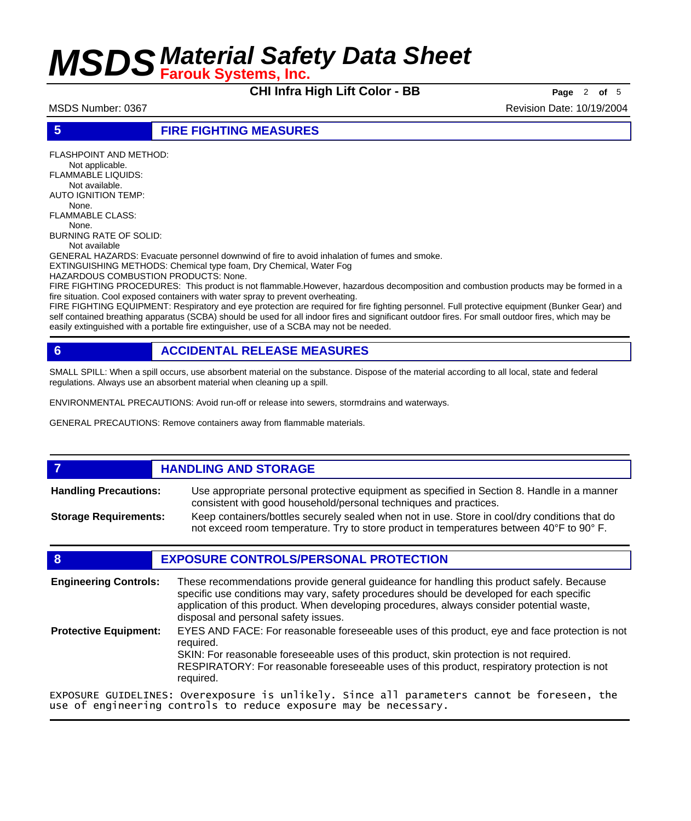**CHI Infra High Lift Color - BB Page** <sup>2</sup> **of** <sup>5</sup>

MSDS Number: 0367 Revision Date: 10/19/2004

## **5 FIRE FIGHTING MEASURES**

FLASHPOINT AND METHOD: Not applicable. FLAMMABLE LIQUIDS: Not available. AUTO IGNITION TEMP: None. FLAMMABLE CLASS: None. BURNING RATE OF SOLID: Not available GENERAL HAZARDS: Evacuate personnel downwind of fire to avoid inhalation of fumes and smoke. EXTINGUISHING METHODS: Chemical type foam, Dry Chemical, Water Fog HAZARDOUS COMBUSTION PRODUCTS: None. FIRE FIGHTING PROCEDURES: This product is not flammable.However, hazardous decomposition and combustion products may be formed in a fire situation. Cool exposed containers with water spray to prevent overheating.

FIRE FIGHTING EQUIPMENT: Respiratory and eye protection are required for fire fighting personnel. Full protective equipment (Bunker Gear) and self contained breathing apparatus (SCBA) should be used for all indoor fires and significant outdoor fires. For small outdoor fires, which may be easily extinguished with a portable fire extinguisher, use of a SCBA may not be needed.

## **6 ACCIDENTAL RELEASE MEASURES**

SMALL SPILL: When a spill occurs, use absorbent material on the substance. Dispose of the material according to all local, state and federal regulations. Always use an absorbent material when cleaning up a spill.

ENVIRONMENTAL PRECAUTIONS: Avoid run-off or release into sewers, stormdrains and waterways.

GENERAL PRECAUTIONS: Remove containers away from flammable materials.

### **7 HANDLING AND STORAGE** Use appropriate personal protective equipment as specified in Section 8. Handle in a manner consistent with good household/personal techniques and practices. **Handling Precautions:** Keep containers/bottles securely sealed when not in use. Store in cool/dry conditions that do not exceed room temperature. Try to store product in temperatures between 40°F to 90° F. **Storage Requirements:**

## **8 EXPOSURE CONTROLS/PERSONAL PROTECTION**

These recommendations provide general guideance for handling this product safely. Because specific use conditions may vary, safety procedures should be developed for each specific application of this product. When developing procedures, always consider potential waste, disposal and personal safety issues. **Engineering Controls:** EYES AND FACE: For reasonable foreseeable uses of this product, eye and face protection is not required. SKIN: For reasonable foreseeable uses of this product, skin protection is not required. RESPIRATORY: For reasonable foreseeable uses of this product, respiratory protection is not required. **Protective Equipment:** EXPOSURE GUIDELINES: Overexposure is unlikely. Since all parameters cannot be foreseen, the use of engineering controls to reduce exposure may be necessary.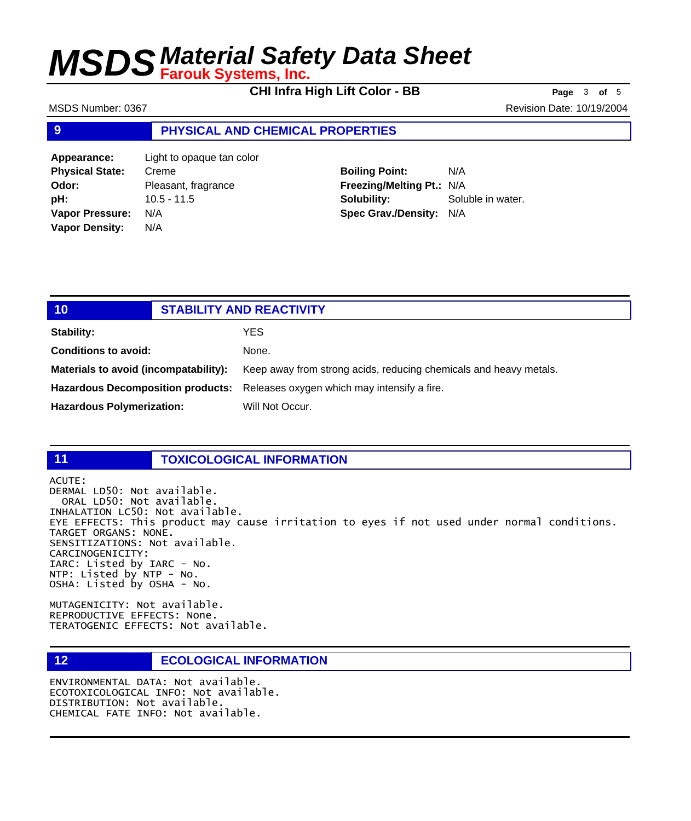**CHI Infra High Lift Color - BB Page** <sup>3</sup> **of** <sup>5</sup>

MSDS Number: 0367 Revision Date: 10/19/2004

## **9 PHYSICAL AND CHEMICAL PROPERTIES**

**Appearance:** Light to opaque tan color **Physical State:** Creme **Odor:** Pleasant, fragrance **pH:** 10.5 - 11.5 **Vapor Pressure:** N/A **Vapor Density:** N/A

**Boiling Point:** N/A **Freezing/Melting Pt.:** N/A **Solubility:** Soluble in water. **Spec Grav./Density:** N/A

| 10                                    | <b>STABILITY AND REACTIVITY</b>                                               |
|---------------------------------------|-------------------------------------------------------------------------------|
| Stability:                            | YES                                                                           |
| <b>Conditions to avoid:</b>           | None.                                                                         |
| Materials to avoid (incompatability): | Keep away from strong acids, reducing chemicals and heavy metals.             |
|                                       | Hazardous Decomposition products: Releases oxygen which may intensity a fire. |
| <b>Hazardous Polymerization:</b>      | Will Not Occur.                                                               |

## **11 TOXICOLOGICAL INFORMATION**

ACUTE: DERMAL LD50: Not available. ORAL LD50: Not available. INHALATION LC50: Not available. EYE EFFECTS: This product may cause irritation to eyes if not used under normal conditions. TARGET ORGANS: NONE. SENSITIZATIONS: Not available. CARCINOGENICITY: IARC: Listed by IARC - No. NTP: Listed by NTP - No. OSHA: Listed by OSHA - No.

MUTAGENICITY: Not available. REPRODUCTIVE EFFECTS: None. TERATOGENIC EFFECTS: Not available.

## **12 ECOLOGICAL INFORMATION**

ENVIRONMENTAL DATA: Not available. ECOTOXICOLOGICAL INFO: Not available. DISTRIBUTION: Not available. CHEMICAL FATE INFO: Not available.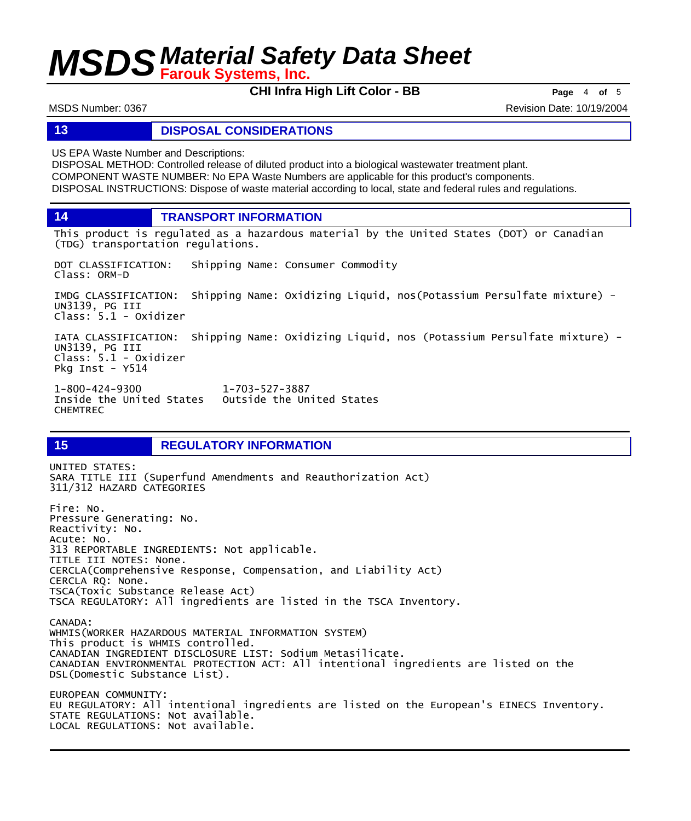**CHI Infra High Lift Color - BB Page** <sup>4</sup> **of** <sup>5</sup>

MSDS Number: 0367 Revision Date: 10/19/2004

## **13 DISPOSAL CONSIDERATIONS**

US EPA Waste Number and Descriptions:

DISPOSAL METHOD: Controlled release of diluted product into a biological wastewater treatment plant. COMPONENT WASTE NUMBER: No EPA Waste Numbers are applicable for this product's components. DISPOSAL INSTRUCTIONS: Dispose of waste material according to local, state and federal rules and regulations.

**14 TRANSPORT INFORMATION**

This product is regulated as a hazardous material by the United States (DOT) or Canadian (TDG) transportation regulations.

DOT CLASSIFICATION: Shipping Name: Consumer Commodity Class: ORM-D

IMDG CLASSIFICATION: Shipping Name: Oxidizing Liquid, nos(Potassium Persulfate mixture) - UN3139, PG III Class: 5.1 - Oxidizer

IATA CLASSIFICATION: Shipping Name: Oxidizing Liquid, nos (Potassium Persulfate mixture) - UN3139, PG III Class: 5.1 - Oxidizer Pkg Inst - Y514

1-800-424-9300 1-703-527-3887 Outside the United States CHEMTREC

## **15 REGULATORY INFORMATION**

UNITED STATES: SARA TITLE III (Superfund Amendments and Reauthorization Act) 311/312 HAZARD CATEGORIES Fire: No. Pressure Generating: No. Reactivity: No. Acute: No. 313 REPORTABLE INGREDIENTS: Not applicable. TITLE III NOTES: None. CERCLA(Comprehensive Response, Compensation, and Liability Act) CERCLA RQ: None. TSCA(Toxic Substance Release Act) TSCA REGULATORY: All ingredients are listed in the TSCA Inventory. CANADA: WHMIS(WORKER HAZARDOUS MATERIAL INFORMATION SYSTEM) This product is WHMIS controlled. CANADIAN INGREDIENT DISCLOSURE LIST: Sodium Metasilicate. CANADIAN ENVIRONMENTAL PROTECTION ACT: All intentional ingredients are listed on the DSL(Domestic Substance List). EUROPEAN COMMUNITY: EU REGULATORY: All intentional ingredients are listed on the European's EINECS Inventory. STATE REGULATIONS: Not available. LOCAL REGULATIONS: Not available.